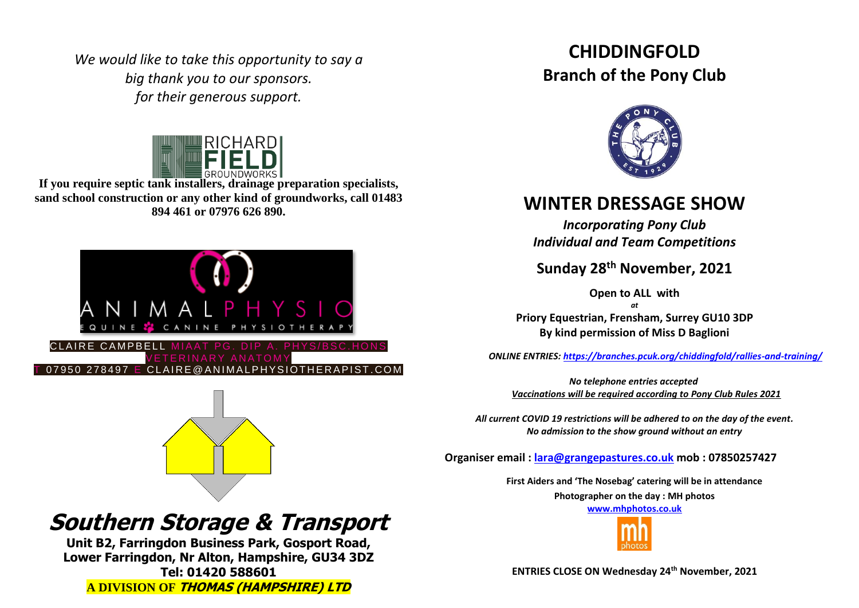*We would like to take this opportunity to say a big thank you to our sponsors. for their generous support.*



**If you require septic tank installers, drainage preparation specialists, sand school construction or any other kind of groundworks, call 01483 894 461 or 07976 626 890.**



# **Southern Storage & Transport**

**Unit B2, Farringdon Business Park, Gosport Road, Lower Farringdon, Nr Alton, Hampshire, GU34 3DZ Tel: 01420 588601 A DIVISION OF THOMAS (HAMPSHIRE) LTD**

## **CHIDDINGFOLD Branch of the Pony Club**



### **WINTER DRESSAGE SHOW**

*Incorporating Pony Club Individual and Team Competitions*

**Sunday 28th November, 2021**

**Open to ALL with** 

*at* **Priory Equestrian, Frensham, Surrey GU10 3DP By kind permission of Miss D Baglioni**

 *ONLINE ENTRIES: <https://branches.pcuk.org/chiddingfold/rallies-and-training/>*

 *No telephone entries accepted Vaccinations will be required according to Pony Club Rules 2021*

*All current COVID 19 restrictions will be adhered to on the day of the event. No admission to the show ground without an entry*

**Organiser email : [lara@grangepastures.co.uk](mailto:lara@grangepastures.co.uk) mob : 07850257427**

**First Aiders and 'The Nosebag' catering will be in attendance Photographer on the day : MH photos [www.mhphotos.co.uk](http://www.mhphotos.co.uk/)** 



**ENTRIES CLOSE ON Wednesday 24th November, 2021**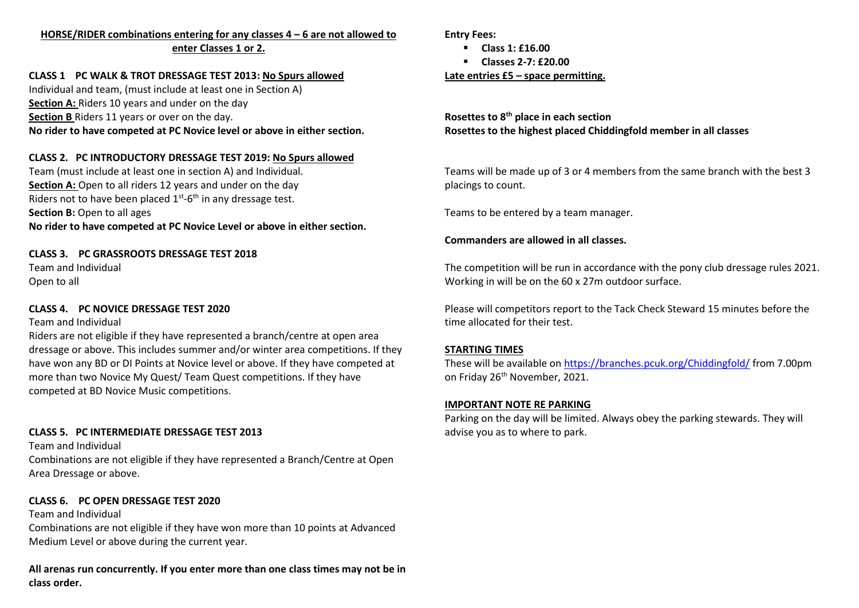#### **HORSE/RIDER combinations entering for any classes 4 – 6 are not allowed to enter Classes 1 or 2.**

#### **CLASS 1 PC WALK & TROT DRESSAGE TEST 2013: No Spurs allowed**

Individual and team, (must include at least one in Section A) **Section A:** Riders 10 years and under on the day **Section B** Riders 11 years or over on the day. **No rider to have competed at PC Novice level or above in either section.**

#### **CLASS 2. PC INTRODUCTORY DRESSAGE TEST 2019: No Spurs allowed**

Team (must include at least one in section A) and Individual. **Section A:** Open to all riders 12 years and under on the day Riders not to have been placed  $1<sup>st</sup>$ -6<sup>th</sup> in any dressage test. **Section B: Open to all ages No rider to have competed at PC Novice Level or above in either section.**

#### **CLASS 3. PC GRASSROOTS DRESSAGE TEST 2018**

Team and Individual Open to all

#### **CLASS 4. PC NOVICE DRESSAGE TEST 2020**

#### Team and Individual

Riders are not eligible if they have represented a branch/centre at open area dressage or above. This includes summer and/or winter area competitions. If they have won any BD or DI Points at Novice level or above. If they have competed at more than two Novice My Quest/ Team Quest competitions. If they have competed at BD Novice Music competitions.

#### **CLASS 5. PC INTERMEDIATE DRESSAGE TEST 2013**

Team and Individual Combinations are not eligible if they have represented a Branch/Centre at Open Area Dressage or above.

#### **CLASS 6. PC OPEN DRESSAGE TEST 2020**

Team and Individual Combinations are not eligible if they have won more than 10 points at Advanced Medium Level or above during the current year.

**All arenas run concurrently. If you enter more than one class times may not be in class order.**

**Entry Fees:**

- **Class 1: £16.00**
- **Classes 2-7: £20.00**

#### **Late entries £5 – space permitting.**

**Rosettes to 8th place in each section Rosettes to the highest placed Chiddingfold member in all classes**

Teams will be made up of 3 or 4 members from the same branch with the best 3 placings to count.

Teams to be entered by a team manager.

#### **Commanders are allowed in all classes.**

The competition will be run in accordance with the pony club dressage rules 2021. Working in will be on the 60 x 27m outdoor surface.

Please will competitors report to the Tack Check Steward 15 minutes before the time allocated for their test.

#### **STARTING TIMES**

These will be available o[n https://branches.pcuk.org/Chiddingfold/](https://branches.pcuk.org/Chiddingfold/) from 7.00pm on Friday 26<sup>th</sup> November, 2021.

#### **IMPORTANT NOTE RE PARKING**

Parking on the day will be limited. Always obey the parking stewards. They will advise you as to where to park.